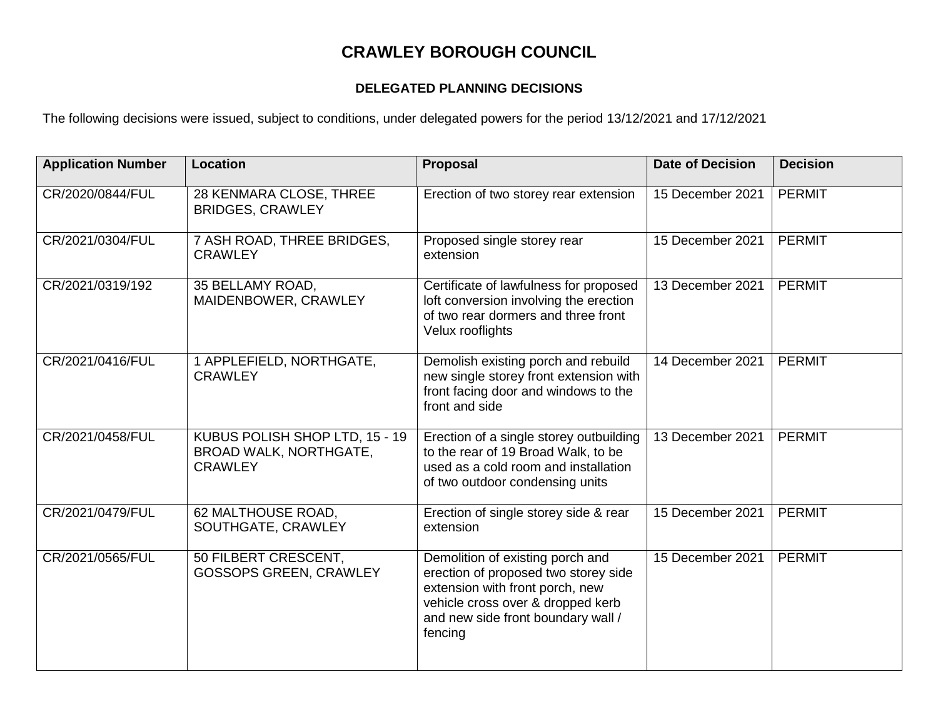## **CRAWLEY BOROUGH COUNCIL**

## **DELEGATED PLANNING DECISIONS**

The following decisions were issued, subject to conditions, under delegated powers for the period 13/12/2021 and 17/12/2021

| <b>Application Number</b> | Location                                                                          | <b>Proposal</b>                                                                                                                                                                                   | <b>Date of Decision</b> | <b>Decision</b> |
|---------------------------|-----------------------------------------------------------------------------------|---------------------------------------------------------------------------------------------------------------------------------------------------------------------------------------------------|-------------------------|-----------------|
| CR/2020/0844/FUL          | 28 KENMARA CLOSE, THREE<br><b>BRIDGES, CRAWLEY</b>                                | Erection of two storey rear extension                                                                                                                                                             | 15 December 2021        | <b>PERMIT</b>   |
| CR/2021/0304/FUL          | 7 ASH ROAD, THREE BRIDGES,<br><b>CRAWLEY</b>                                      | Proposed single storey rear<br>extension                                                                                                                                                          | 15 December 2021        | <b>PERMIT</b>   |
| CR/2021/0319/192          | 35 BELLAMY ROAD,<br>MAIDENBOWER, CRAWLEY                                          | Certificate of lawfulness for proposed<br>loft conversion involving the erection<br>of two rear dormers and three front<br>Velux rooflights                                                       | 13 December 2021        | <b>PERMIT</b>   |
| CR/2021/0416/FUL          | 1 APPLEFIELD, NORTHGATE,<br><b>CRAWLEY</b>                                        | Demolish existing porch and rebuild<br>new single storey front extension with<br>front facing door and windows to the<br>front and side                                                           | 14 December 2021        | <b>PERMIT</b>   |
| CR/2021/0458/FUL          | KUBUS POLISH SHOP LTD, 15 - 19<br><b>BROAD WALK, NORTHGATE,</b><br><b>CRAWLEY</b> | Erection of a single storey outbuilding<br>to the rear of 19 Broad Walk, to be<br>used as a cold room and installation<br>of two outdoor condensing units                                         | 13 December 2021        | <b>PERMIT</b>   |
| CR/2021/0479/FUL          | 62 MALTHOUSE ROAD,<br>SOUTHGATE, CRAWLEY                                          | Erection of single storey side & rear<br>extension                                                                                                                                                | 15 December 2021        | <b>PERMIT</b>   |
| CR/2021/0565/FUL          | 50 FILBERT CRESCENT,<br><b>GOSSOPS GREEN, CRAWLEY</b>                             | Demolition of existing porch and<br>erection of proposed two storey side<br>extension with front porch, new<br>vehicle cross over & dropped kerb<br>and new side front boundary wall /<br>fencing | 15 December 2021        | <b>PERMIT</b>   |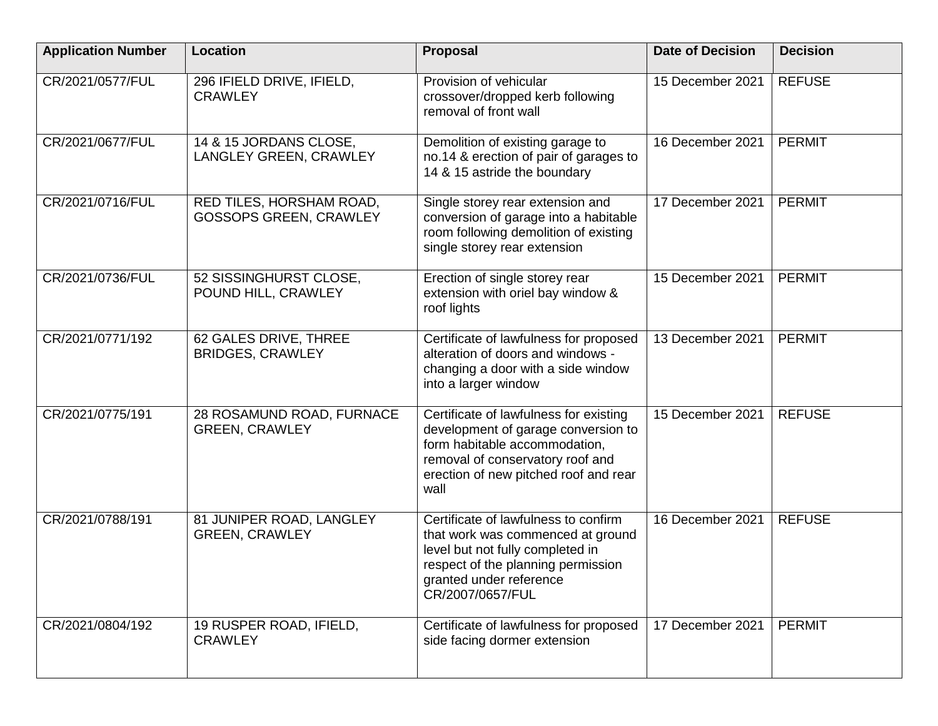| <b>Application Number</b> | <b>Location</b>                                           | <b>Proposal</b>                                                                                                                                                                                     | <b>Date of Decision</b> | <b>Decision</b> |
|---------------------------|-----------------------------------------------------------|-----------------------------------------------------------------------------------------------------------------------------------------------------------------------------------------------------|-------------------------|-----------------|
| CR/2021/0577/FUL          | 296 IFIELD DRIVE, IFIELD,<br><b>CRAWLEY</b>               | Provision of vehicular<br>crossover/dropped kerb following<br>removal of front wall                                                                                                                 | 15 December 2021        | <b>REFUSE</b>   |
| CR/2021/0677/FUL          | 14 & 15 JORDANS CLOSE,<br>LANGLEY GREEN, CRAWLEY          | Demolition of existing garage to<br>no.14 & erection of pair of garages to<br>14 & 15 astride the boundary                                                                                          | 16 December 2021        | <b>PERMIT</b>   |
| CR/2021/0716/FUL          | RED TILES, HORSHAM ROAD,<br><b>GOSSOPS GREEN, CRAWLEY</b> | Single storey rear extension and<br>conversion of garage into a habitable<br>room following demolition of existing<br>single storey rear extension                                                  | 17 December 2021        | <b>PERMIT</b>   |
| CR/2021/0736/FUL          | 52 SISSINGHURST CLOSE,<br>POUND HILL, CRAWLEY             | Erection of single storey rear<br>extension with oriel bay window &<br>roof lights                                                                                                                  | 15 December 2021        | <b>PERMIT</b>   |
| CR/2021/0771/192          | 62 GALES DRIVE, THREE<br><b>BRIDGES, CRAWLEY</b>          | Certificate of lawfulness for proposed<br>alteration of doors and windows -<br>changing a door with a side window<br>into a larger window                                                           | 13 December 2021        | <b>PERMIT</b>   |
| CR/2021/0775/191          | 28 ROSAMUND ROAD, FURNACE<br><b>GREEN, CRAWLEY</b>        | Certificate of lawfulness for existing<br>development of garage conversion to<br>form habitable accommodation,<br>removal of conservatory roof and<br>erection of new pitched roof and rear<br>wall | 15 December 2021        | <b>REFUSE</b>   |
| CR/2021/0788/191          | 81 JUNIPER ROAD, LANGLEY<br><b>GREEN, CRAWLEY</b>         | Certificate of lawfulness to confirm<br>that work was commenced at ground<br>level but not fully completed in<br>respect of the planning permission<br>granted under reference<br>CR/2007/0657/FUL  | 16 December 2021        | <b>REFUSE</b>   |
| CR/2021/0804/192          | 19 RUSPER ROAD, IFIELD,<br><b>CRAWLEY</b>                 | Certificate of lawfulness for proposed<br>side facing dormer extension                                                                                                                              | 17 December 2021        | <b>PERMIT</b>   |